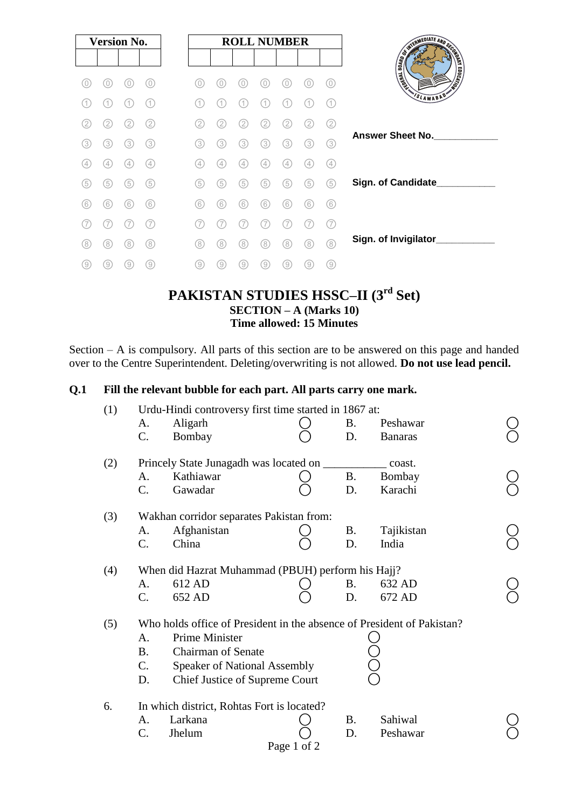|     | <b>Version No.</b> |               |     |     |               |     | <b>ROLL NUMBER</b> |                   |                |     |
|-----|--------------------|---------------|-----|-----|---------------|-----|--------------------|-------------------|----------------|-----|
|     |                    |               |     |     |               |     |                    |                   |                |     |
| 0   | 0                  |               | 0   | 0)  | 0             | 0   | 0                  | 0                 | $\cup$         | 0)  |
|     |                    |               | (1) | 11  | (1            | 1   | 1                  |                   |                | (1  |
| 2   | 2                  | $^{2}$        | (2) | 2   | 2             | 2   | 2                  | $\overline{2}$    |                | (2) |
| (3) | (3)                | (3)           | (3) | (3) | (3)           | 3)  | 3)                 | (3)               | 3              | (3) |
| (4) | $\frac{1}{4}$      | $\frac{1}{2}$ | (4) | (4) | $\frac{1}{2}$ | 4   | $\frac{1}{2}$      | $\left( 4\right)$ | $\overline{4}$ | (4) |
| (5) | 5                  | 5             | (5) | (5) | (5)           | (5) | 5                  | 5                 | 5              | (5) |
| (6) | (6)                | (6)           | (6) | (6) | (6)           | 6   | 6                  | 6                 | (6)            | (6) |
|     |                    |               |     | 7   |               |     |                    |                   |                | (7  |
| (8) | (8)                | 8             | (8) | (8) | (8)           | (8) | 8)                 | (8)               | (8)            | (8) |
| 9   | 9                  | 9             | (9  | 9   | 9.            | 0)  | 0,                 | ์ 9               | 9              | 9   |

#### **PAKISTAN STUDIES HSSC–II (3 rd Set) SECTION – A (Marks 10) Time allowed: 15 Minutes**

Section – A is compulsory. All parts of this section are to be answered on this page and handed over to the Centre Superintendent. Deleting/overwriting is not allowed. **Do not use lead pencil.**

#### **Q.1 Fill the relevant bubble for each part. All parts carry one mark.**

| (1) | Urdu-Hindi controversy first time started in 1867 at: |                                                                        |             |           |                |  |  |  |  |  |
|-----|-------------------------------------------------------|------------------------------------------------------------------------|-------------|-----------|----------------|--|--|--|--|--|
|     | A.                                                    | Aligarh                                                                |             | B.        | Peshawar       |  |  |  |  |  |
|     | C.                                                    | Bombay                                                                 |             | D.        | <b>Banaras</b> |  |  |  |  |  |
| (2) |                                                       | Princely State Junagadh was located on ______                          |             |           | coast.         |  |  |  |  |  |
|     | A.                                                    | Kathiawar                                                              |             | <b>B.</b> | Bombay         |  |  |  |  |  |
|     | $\mathcal{C}$ .                                       | Gawadar                                                                |             | D.        | Karachi        |  |  |  |  |  |
| (3) |                                                       | Wakhan corridor separates Pakistan from:                               |             |           |                |  |  |  |  |  |
|     | A.                                                    | Afghanistan                                                            |             | B.        | Tajikistan     |  |  |  |  |  |
|     | C.                                                    | China                                                                  |             | D.        | India          |  |  |  |  |  |
| (4) |                                                       | When did Hazrat Muhammad (PBUH) perform his Hajj?                      |             |           |                |  |  |  |  |  |
|     | A.                                                    | 612 AD                                                                 |             | B.        | 632 AD         |  |  |  |  |  |
|     | $C_{\cdot}$                                           | 652 AD                                                                 |             | D.        | 672 AD         |  |  |  |  |  |
| (5) |                                                       | Who holds office of President in the absence of President of Pakistan? |             |           |                |  |  |  |  |  |
|     | A.                                                    | <b>Prime Minister</b>                                                  |             |           |                |  |  |  |  |  |
|     | <b>B.</b>                                             | <b>Chairman of Senate</b>                                              |             |           |                |  |  |  |  |  |
|     | C.                                                    | <b>Speaker of National Assembly</b>                                    |             |           |                |  |  |  |  |  |
|     | D.                                                    | Chief Justice of Supreme Court                                         |             |           |                |  |  |  |  |  |
| 6.  | In which district, Rohtas Fort is located?            |                                                                        |             |           |                |  |  |  |  |  |
|     | A.                                                    | Larkana                                                                |             | B.        | Sahiwal        |  |  |  |  |  |
|     | $\mathcal{C}$ .                                       | Jhelum                                                                 |             | D.        | Peshawar       |  |  |  |  |  |
|     |                                                       |                                                                        | Page 1 of 2 |           |                |  |  |  |  |  |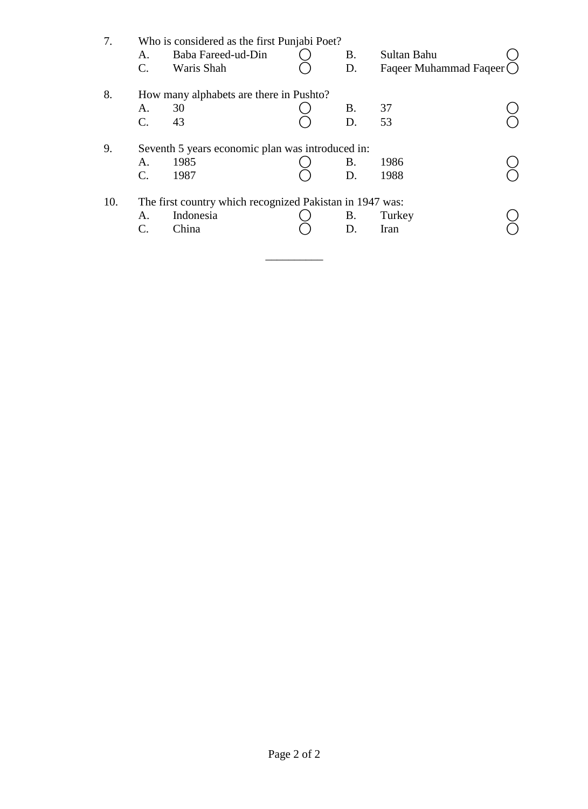| 7.  | Who is considered as the first Punjabi Poet? |                                                          |  |    |                           |  |  |  |  |  |  |
|-----|----------------------------------------------|----------------------------------------------------------|--|----|---------------------------|--|--|--|--|--|--|
|     | A.                                           | Baba Fareed-ud-Din                                       |  | В. | Sultan Bahu               |  |  |  |  |  |  |
|     | $\mathbf{C}$ .                               | Waris Shah                                               |  | D. | Faqeer Muhammad Faqeer () |  |  |  |  |  |  |
| 8.  |                                              | How many alphabets are there in Pushto?                  |  |    |                           |  |  |  |  |  |  |
|     | A.                                           | 30                                                       |  | B. | 37                        |  |  |  |  |  |  |
|     | $\mathbf{C}$ .                               | 43                                                       |  | D. | 53                        |  |  |  |  |  |  |
| 9.  |                                              | Seventh 5 years economic plan was introduced in:         |  |    |                           |  |  |  |  |  |  |
|     | A.                                           | 1985                                                     |  | В. | 1986                      |  |  |  |  |  |  |
|     | C.                                           | 1987                                                     |  | D. | 1988                      |  |  |  |  |  |  |
| 10. |                                              | The first country which recognized Pakistan in 1947 was: |  |    |                           |  |  |  |  |  |  |
|     | A.                                           | Indonesia                                                |  | В. | Turkey                    |  |  |  |  |  |  |
|     | C.                                           | China                                                    |  | D. | Iran                      |  |  |  |  |  |  |
|     |                                              |                                                          |  |    |                           |  |  |  |  |  |  |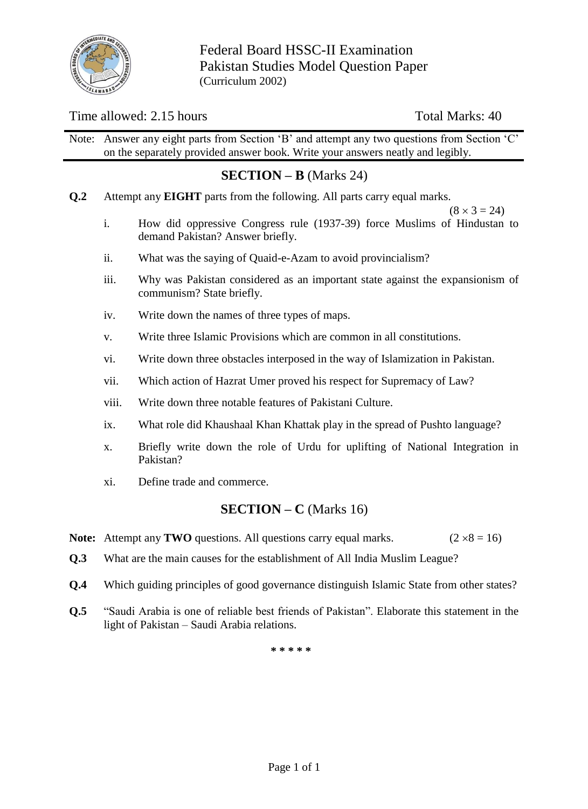

Federal Board HSSC-II Examination Pakistan Studies Model Question Paper (Curriculum 2002)

#### Time allowed: 2.15 hours Total Marks: 40

Note: Answer any eight parts from Section 'B' and attempt any two questions from Section 'C' on the separately provided answer book. Write your answers neatly and legibly.

### **SECTION – B** (Marks 24)

**Q.2** Attempt any **EIGHT** parts from the following. All parts carry equal marks.

 $(8 \times 3 = 24)$ 

- i. How did oppressive Congress rule (1937-39) force Muslims of Hindustan to demand Pakistan? Answer briefly.
- ii. What was the saying of Quaid-e-Azam to avoid provincialism?
- iii. Why was Pakistan considered as an important state against the expansionism of communism? State briefly.
- iv. Write down the names of three types of maps.
- v. Write three Islamic Provisions which are common in all constitutions.
- vi. Write down three obstacles interposed in the way of Islamization in Pakistan.
- vii. Which action of Hazrat Umer proved his respect for Supremacy of Law?
- viii. Write down three notable features of Pakistani Culture.
- ix. What role did Khaushaal Khan Khattak play in the spread of Pushto language?
- x. Briefly write down the role of Urdu for uplifting of National Integration in Pakistan?
- xi. Define trade and commerce.

#### **SECTION – C** (Marks 16)

- **Note:** Attempt any **TWO** questions. All questions carry equal marks. ( $2 \times 8 = 16$ )
- **Q.3** What are the main causes for the establishment of All India Muslim League?
- **Q.4** Which guiding principles of good governance distinguish Islamic State from other states?
- **Q.5** "Saudi Arabia is one of reliable best friends of Pakistan". Elaborate this statement in the light of Pakistan – Saudi Arabia relations.

**\* \* \* \* \***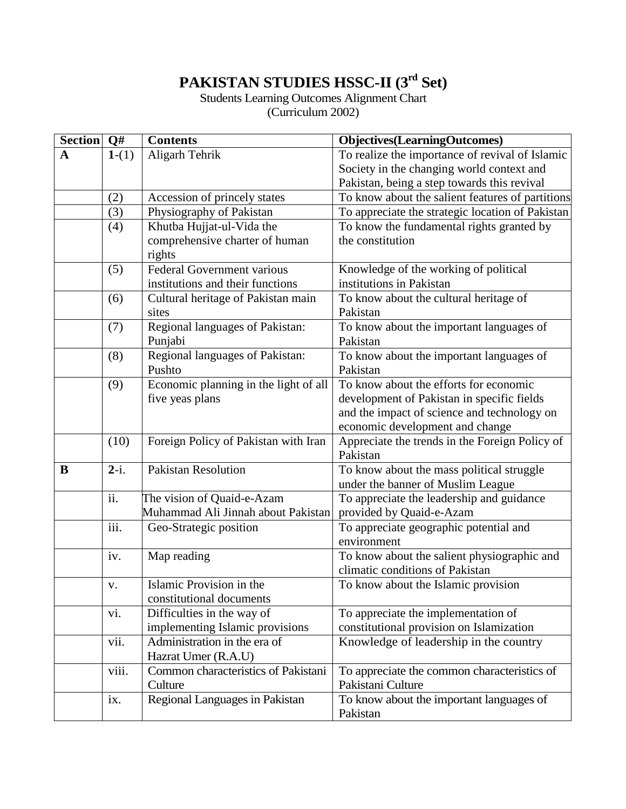## **PAKISTAN STUDIES HSSC-II (3 rd Set)**

# Students Learning Outcomes Alignment Chart

(Curriculum 2002)

| $\overline{\text{Section}}$ Q# |         | <b>Contents</b>                       | <b>Objectives</b> (LearningOutcomes)             |
|--------------------------------|---------|---------------------------------------|--------------------------------------------------|
| $\mathbf A$                    | $1-(1)$ | Aligarh Tehrik                        | To realize the importance of revival of Islamic  |
|                                |         |                                       | Society in the changing world context and        |
|                                |         |                                       | Pakistan, being a step towards this revival      |
|                                | (2)     | Accession of princely states          | To know about the salient features of partitions |
|                                | (3)     | Physiography of Pakistan              | To appreciate the strategic location of Pakistan |
|                                | (4)     | Khutba Hujjat-ul-Vida the             | To know the fundamental rights granted by        |
|                                |         | comprehensive charter of human        | the constitution                                 |
|                                |         | rights                                |                                                  |
|                                | (5)     | <b>Federal Government various</b>     | Knowledge of the working of political            |
|                                |         | institutions and their functions      | institutions in Pakistan                         |
|                                | (6)     | Cultural heritage of Pakistan main    | To know about the cultural heritage of           |
|                                |         | sites                                 | Pakistan                                         |
|                                | (7)     | Regional languages of Pakistan:       | To know about the important languages of         |
|                                |         | Punjabi                               | Pakistan                                         |
|                                | (8)     | Regional languages of Pakistan:       | To know about the important languages of         |
|                                |         | Pushto                                | Pakistan                                         |
|                                | (9)     | Economic planning in the light of all | To know about the efforts for economic           |
|                                |         | five yeas plans                       | development of Pakistan in specific fields       |
|                                |         |                                       | and the impact of science and technology on      |
|                                |         |                                       | economic development and change                  |
|                                | (10)    | Foreign Policy of Pakistan with Iran  | Appreciate the trends in the Foreign Policy of   |
|                                |         |                                       | Pakistan                                         |
| B                              | $2-i.$  | <b>Pakistan Resolution</b>            | To know about the mass political struggle        |
|                                |         |                                       | under the banner of Muslim League                |
|                                | ii.     | The vision of Quaid-e-Azam            | To appreciate the leadership and guidance        |
|                                |         | Muhammad Ali Jinnah about Pakistan    | provided by Quaid-e-Azam                         |
|                                | iii.    | Geo-Strategic position                | To appreciate geographic potential and           |
|                                |         |                                       | environment                                      |
|                                | iv.     | Map reading                           | To know about the salient physiographic and      |
|                                |         |                                       | climatic conditions of Pakistan                  |
|                                | V.      | Islamic Provision in the              | To know about the Islamic provision              |
|                                |         | constitutional documents              |                                                  |
|                                | vi.     | Difficulties in the way of            | To appreciate the implementation of              |
|                                |         | implementing Islamic provisions       | constitutional provision on Islamization         |
|                                | vii.    | Administration in the era of          | Knowledge of leadership in the country           |
|                                |         | Hazrat Umer (R.A.U)                   |                                                  |
|                                | viii.   | Common characteristics of Pakistani   | To appreciate the common characteristics of      |
|                                |         | Culture                               | Pakistani Culture                                |
|                                | ix.     | Regional Languages in Pakistan        | To know about the important languages of         |
|                                |         |                                       | Pakistan                                         |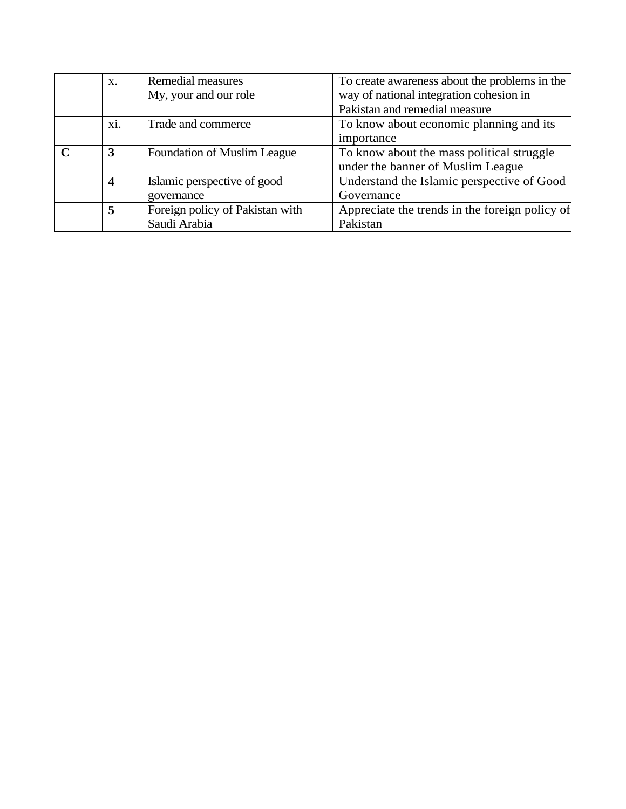| $\mathbf{X}$ .          | Remedial measures                  | To create awareness about the problems in the  |
|-------------------------|------------------------------------|------------------------------------------------|
|                         | My, your and our role              | way of national integration cohesion in        |
|                         |                                    | Pakistan and remedial measure                  |
| xi.                     | Trade and commerce                 | To know about economic planning and its        |
|                         |                                    | importance                                     |
| 3                       | <b>Foundation of Muslim League</b> | To know about the mass political struggle      |
|                         |                                    | under the banner of Muslim League              |
| $\overline{\mathbf{4}}$ | Islamic perspective of good        | Understand the Islamic perspective of Good     |
|                         | governance                         | Governance                                     |
| 5                       | Foreign policy of Pakistan with    | Appreciate the trends in the foreign policy of |
|                         | Saudi Arabia                       | Pakistan                                       |